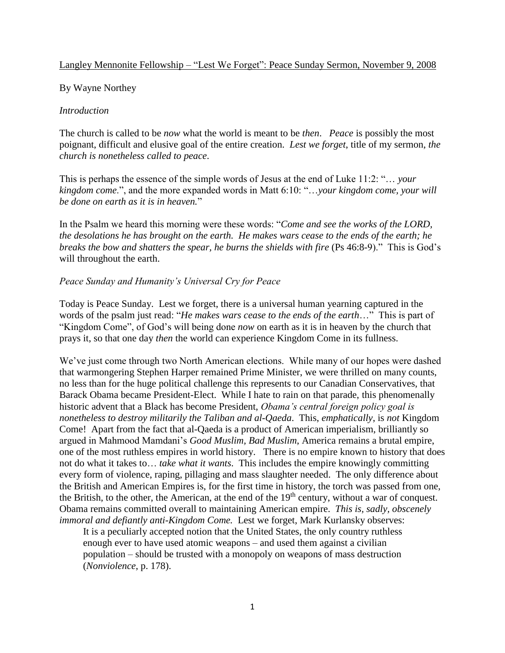## Langley Mennonite Fellowship – "Lest We Forget": Peace Sunday Sermon, November 9, 2008

### By Wayne Northey

### *Introduction*

The church is called to be *now* what the world is meant to be *then*. *Peace* is possibly the most poignant, difficult and elusive goal of the entire creation. *Lest we forget*, title of my sermon, *the church is nonetheless called to peace*.

This is perhaps the essence of the simple words of Jesus at the end of Luke 11:2: "… *your kingdom come*.", and the more expanded words in Matt 6:10: "…*your kingdom come, your will be done on earth as it is in heaven.*"

In the Psalm we heard this morning were these words: "*Come and see the works of the LORD, the desolations he has brought on the earth. He makes wars cease to the ends of the earth; he breaks the bow and shatters the spear, he burns the shields with fire* (Ps 46:8-9)." This is God's will throughout the earth.

### *Peace Sunday and Humanity's Universal Cry for Peace*

Today is Peace Sunday. Lest we forget, there is a universal human yearning captured in the words of the psalm just read: "*He makes wars cease to the ends of the earth*…" This is part of "Kingdom Come", of God's will being done *now* on earth as it is in heaven by the church that prays it, so that one day *then* the world can experience Kingdom Come in its fullness.

We've just come through two North American elections. While many of our hopes were dashed that warmongering Stephen Harper remained Prime Minister, we were thrilled on many counts, no less than for the huge political challenge this represents to our Canadian Conservatives, that Barack Obama became President-Elect. While I hate to rain on that parade, this phenomenally historic advent that a Black has become President, *Obama's central foreign policy goal is nonetheless to destroy militarily the Taliban and al-Qaeda*. This, *emphatically*, is *not* Kingdom Come! Apart from the fact that al-Qaeda is a product of American imperialism, brilliantly so argued in Mahmood Mamdani's *Good Muslim, Bad Muslim*, America remains a brutal empire, one of the most ruthless empires in world history. There is no empire known to history that does not do what it takes to… *take what it wants*. This includes the empire knowingly committing every form of violence, raping, pillaging and mass slaughter needed. The only difference about the British and American Empires is, for the first time in history, the torch was passed from one, the British, to the other, the American, at the end of the 19<sup>th</sup> century, without a war of conquest. Obama remains committed overall to maintaining American empire. *This is, sadly, obscenely immoral and defiantly anti-Kingdom Come.* Lest we forget, Mark Kurlansky observes:

It is a peculiarly accepted notion that the United States, the only country ruthless enough ever to have used atomic weapons – and used them against a civilian population – should be trusted with a monopoly on weapons of mass destruction (*Nonviolence*, p. 178).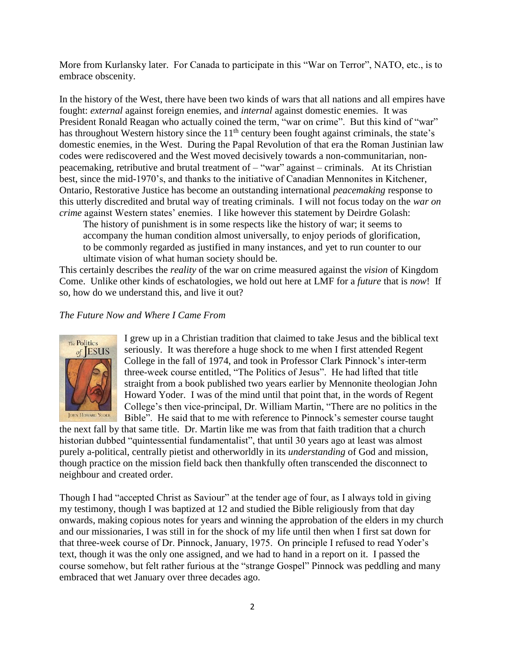More from Kurlansky later. For Canada to participate in this "War on Terror", NATO, etc., is to embrace obscenity.

In the history of the West, there have been two kinds of wars that all nations and all empires have fought: *external* against foreign enemies, and *internal* against domestic enemies. It was President Ronald Reagan who actually coined the term, "war on crime". But this kind of "war" has throughout Western history since the 11<sup>th</sup> century been fought against criminals, the state's domestic enemies, in the West. During the Papal Revolution of that era the Roman Justinian law codes were rediscovered and the West moved decisively towards a non-communitarian, nonpeacemaking, retributive and brutal treatment of – "war" against – criminals. At its Christian best, since the mid-1970's, and thanks to the initiative of Canadian Mennonites in Kitchener, Ontario, Restorative Justice has become an outstanding international *peacemaking* response to this utterly discredited and brutal way of treating criminals. I will not focus today on the *war on crime* against Western states' enemies. I like however this statement by Deirdre Golash:

The history of punishment is in some respects like the history of war; it seems to accompany the human condition almost universally, to enjoy periods of glorification, to be commonly regarded as justified in many instances, and yet to run counter to our ultimate vision of what human society should be.

This certainly describes the *reality* of the war on crime measured against the *vision* of Kingdom Come. Unlike other kinds of eschatologies, we hold out here at LMF for a *future* that is *now*! If so, how do we understand this, and live it out?

### *The Future Now and Where I Came From*



I grew up in a Christian tradition that claimed to take Jesus and the biblical text seriously. It was therefore a huge shock to me when I first attended Regent College in the fall of 1974, and took in Professor Clark Pinnock's inter-term three-week course entitled, "The Politics of Jesus". He had lifted that title straight from a book published two years earlier by Mennonite theologian John Howard Yoder. I was of the mind until that point that, in the words of Regent College's then vice-principal, Dr. William Martin, "There are no politics in the Bible". He said that to me with reference to Pinnock's semester course taught

the next fall by that same title. Dr. Martin like me was from that faith tradition that a church historian dubbed "quintessential fundamentalist", that until 30 years ago at least was almost purely a-political, centrally pietist and otherworldly in its *understanding* of God and mission, though practice on the mission field back then thankfully often transcended the disconnect to neighbour and created order.

Though I had "accepted Christ as Saviour" at the tender age of four, as I always told in giving my testimony, though I was baptized at 12 and studied the Bible religiously from that day onwards, making copious notes for years and winning the approbation of the elders in my church and our missionaries, I was still in for the shock of my life until then when I first sat down for that three-week course of Dr. Pinnock, January, 1975. On principle I refused to read Yoder's text, though it was the only one assigned, and we had to hand in a report on it. I passed the course somehow, but felt rather furious at the "strange Gospel" Pinnock was peddling and many embraced that wet January over three decades ago.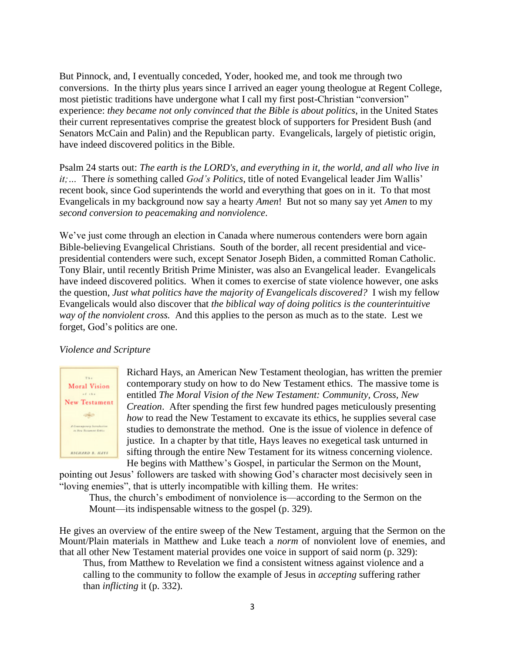But Pinnock, and, I eventually conceded, Yoder, hooked me, and took me through two conversions. In the thirty plus years since I arrived an eager young theologue at Regent College, most pietistic traditions have undergone what I call my first post-Christian "conversion" experience: *they became not only convinced that the Bible is about politics*, in the United States their current representatives comprise the greatest block of supporters for President Bush (and Senators McCain and Palin) and the Republican party. Evangelicals, largely of pietistic origin, have indeed discovered politics in the Bible.

Psalm 24 starts out: *The earth is the LORD's, and everything in it, the world, and all who live in it;…* There *is* something called *God's Politics*, title of noted Evangelical leader Jim Wallis' recent book, since God superintends the world and everything that goes on in it. To that most Evangelicals in my background now say a hearty *Amen*! But not so many say yet *Amen* to my *second conversion to peacemaking and nonviolence*.

We've just come through an election in Canada where numerous contenders were born again Bible-believing Evangelical Christians. South of the border, all recent presidential and vicepresidential contenders were such, except Senator Joseph Biden, a committed Roman Catholic. Tony Blair, until recently British Prime Minister, was also an Evangelical leader. Evangelicals have indeed discovered politics. When it comes to exercise of state violence however, one asks the question, *Just what politics have the majority of Evangelicals discovered?* I wish my fellow Evangelicals would also discover that *the biblical way of doing politics is the counterintuitive way of the nonviolent cross.* And this applies to the person as much as to the state. Lest we forget, God's politics are one.

#### *Violence and Scripture*



Richard Hays, an American New Testament theologian, has written the premier contemporary study on how to do New Testament ethics. The massive tome is entitled *The Moral Vision of the New Testament: Community, Cross, New Creation*. After spending the first few hundred pages meticulously presenting *how* to read the New Testament to excavate its ethics, he supplies several case studies to demonstrate the method. One is the issue of violence in defence of justice. In a chapter by that title, Hays leaves no exegetical task unturned in sifting through the entire New Testament for its witness concerning violence. He begins with Matthew's Gospel, in particular the Sermon on the Mount,

pointing out Jesus' followers are tasked with showing God's character most decisively seen in "loving enemies", that is utterly incompatible with killing them. He writes:

Thus, the church's embodiment of nonviolence is—according to the Sermon on the Mount—its indispensable witness to the gospel (p. 329).

He gives an overview of the entire sweep of the New Testament, arguing that the Sermon on the Mount/Plain materials in Matthew and Luke teach a *norm* of nonviolent love of enemies, and that all other New Testament material provides one voice in support of said norm (p. 329):

Thus, from Matthew to Revelation we find a consistent witness against violence and a calling to the community to follow the example of Jesus in *accepting* suffering rather than *inflicting* it (p. 332).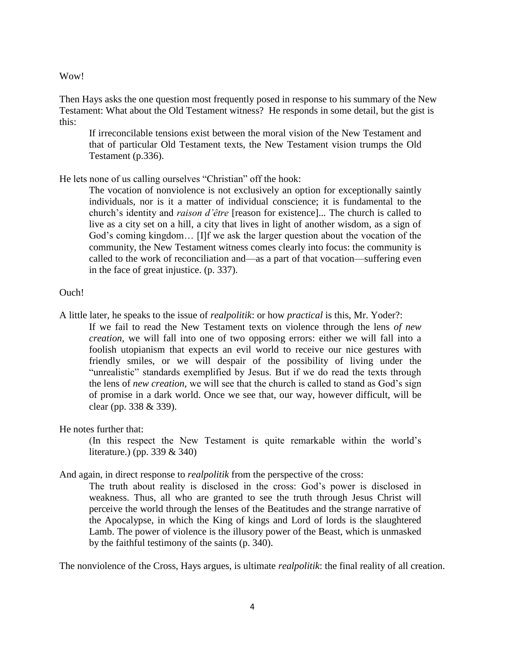#### Wow!

Then Hays asks the one question most frequently posed in response to his summary of the New Testament: What about the Old Testament witness? He responds in some detail, but the gist is this:

If irreconcilable tensions exist between the moral vision of the New Testament and that of particular Old Testament texts, the New Testament vision trumps the Old Testament (p.336).

He lets none of us calling ourselves "Christian" off the hook:

The vocation of nonviolence is not exclusively an option for exceptionally saintly individuals, nor is it a matter of individual conscience; it is fundamental to the church's identity and *raison d'être* [reason for existence]..*.* The church is called to live as a city set on a hill, a city that lives in light of another wisdom, as a sign of God's coming kingdom… [I]f we ask the larger question about the vocation of the community, the New Testament witness comes clearly into focus: the community is called to the work of reconciliation and—as a part of that vocation—suffering even in the face of great injustice. (p. 337).

### Ouch!

A little later, he speaks to the issue of *realpolitik*: or how *practical* is this, Mr. Yoder?: If we fail to read the New Testament texts on violence through the lens *of new creation,* we will fall into one of two opposing errors: either we will fall into a foolish utopianism that expects an evil world to receive our nice gestures with friendly smiles, or we will despair of the possibility of living under the "unrealistic" standards exemplified by Jesus. But if we do read the texts through the lens of *new creation,* we will see that the church is called to stand as God's sign of promise in a dark world. Once we see that, our way, however difficult, will be clear (pp. 338 & 339).

### He notes further that:

(In this respect the New Testament is quite remarkable within the world's literature.) (pp. 339 & 340)

And again, in direct response to *realpolitik* from the perspective of the cross:

The truth about reality is disclosed in the cross: God's power is disclosed in weakness. Thus, all who are granted to see the truth through Jesus Christ will perceive the world through the lenses of the Beatitudes and the strange narrative of the Apocalypse, in which the King of kings and Lord of lords is the slaughtered Lamb. The power of violence is the illusory power of the Beast, which is unmasked by the faithful testimony of the saints (p. 340).

The nonviolence of the Cross, Hays argues, is ultimate *realpolitik*: the final reality of all creation.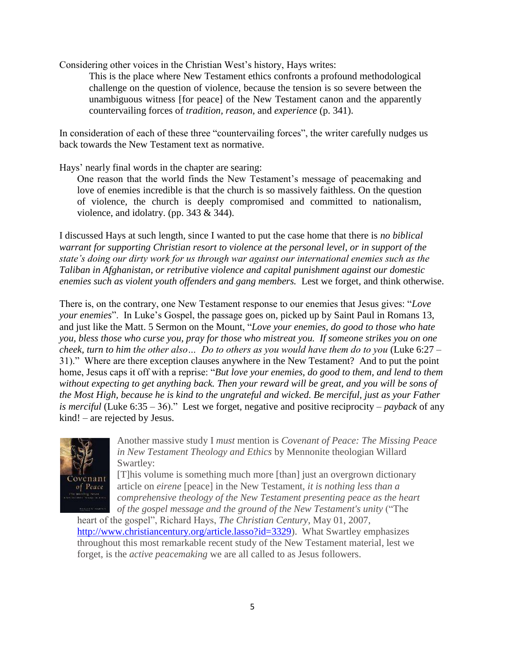Considering other voices in the Christian West's history, Hays writes:

This is the place where New Testament ethics confronts a profound methodological challenge on the question of violence, because the tension is so severe between the unambiguous witness [for peace] of the New Testament canon and the apparently countervailing forces of *tradition, reason,* and *experience* (p. 341).

In consideration of each of these three "countervailing forces", the writer carefully nudges us back towards the New Testament text as normative.

Hays' nearly final words in the chapter are searing:

One reason that the world finds the New Testament's message of peacemaking and love of enemies incredible is that the church is so massively faithless. On the question of violence, the church is deeply compromised and committed to nationalism, violence, and idolatry. (pp. 343 & 344).

I discussed Hays at such length, since I wanted to put the case home that there is *no biblical warrant for supporting Christian resort to violence at the personal level, or in support of the state's doing our dirty work for us through war against our international enemies such as the Taliban in Afghanistan, or retributive violence and capital punishment against our domestic enemies such as violent youth offenders and gang members.* Lest we forget, and think otherwise.

There is, on the contrary, one New Testament response to our enemies that Jesus gives: "*Love your enemies*". In Luke's Gospel, the passage goes on, picked up by Saint Paul in Romans 13, and just like the Matt. 5 Sermon on the Mount, "*Love your enemies, do good to those who hate you, bless those who curse you, pray for those who mistreat you. If someone strikes you on one cheek, turn to him the other also… Do to others as you would have them do to you* (Luke 6:27 – 31)." Where are there exception clauses anywhere in the New Testament? And to put the point home, Jesus caps it off with a reprise: "*But love your enemies, do good to them, and lend to them without expecting to get anything back. Then your reward will be great, and you will be sons of the Most High, because he is kind to the ungrateful and wicked. Be merciful, just as your Father is merciful* (Luke 6:35 – 36)." Lest we forget, negative and positive reciprocity – *payback* of any kind! – are rejected by Jesus.



Another massive study I *must* mention is *Covenant of Peace: The Missing Peace in New Testament Theology and Ethics* by Mennonite theologian Willard Swartley:

[T]his volume is something much more [than] just an overgrown dictionary article on *eirene* [peace] in the New Testament, *it is nothing less than a comprehensive theology of the New Testament presenting peace as the heart of the gospel message and the ground of the New Testament's unity* ("The

heart of the gospel", Richard Hays, *The Christian Century*, May 01, 2007, [http://www.christiancentury.org/article.lasso?id=3329\)](http://www.christiancentury.org/article.lasso?id=3329). What Swartley emphasizes throughout this most remarkable recent study of the New Testament material, lest we forget, is the *active peacemaking* we are all called to as Jesus followers.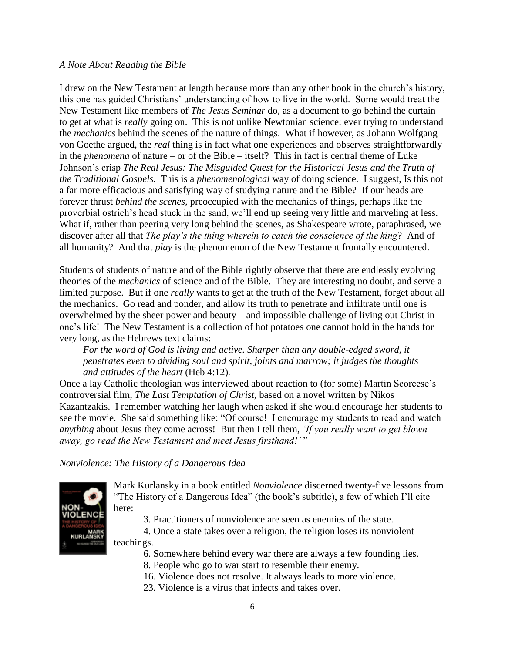#### *A Note About Reading the Bible*

I drew on the New Testament at length because more than any other book in the church's history, this one has guided Christians' understanding of how to live in the world. Some would treat the New Testament like members of *The Jesus Seminar* do, as a document to go behind the curtain to get at what is *really* going on. This is not unlike Newtonian science: ever trying to understand the *mechanics* behind the scenes of the nature of things. What if however, as Johann Wolfgang von Goethe argued, the *real* thing is in fact what one experiences and observes straightforwardly in the *phenomena* of nature – or of the Bible – itself? This in fact is central theme of Luke Johnson's crisp *The Real Jesus: The Misguided Quest for the Historical Jesus and the Truth of the Traditional Gospels.* This is a *phenomenological* way of doing science. I suggest, Is this not a far more efficacious and satisfying way of studying nature and the Bible? If our heads are forever thrust *behind the scenes*, preoccupied with the mechanics of things, perhaps like the proverbial ostrich's head stuck in the sand, we'll end up seeing very little and marveling at less. What if, rather than peering very long behind the scenes, as Shakespeare wrote, paraphrased, we discover after all that *The play's the thing wherein to catch the conscience of the king*? And of all humanity? And that *play* is the phenomenon of the New Testament frontally encountered.

Students of students of nature and of the Bible rightly observe that there are endlessly evolving theories of the *mechanics* of science and of the Bible. They are interesting no doubt, and serve a limited purpose. But if one *really* wants to get at the truth of the New Testament, forget about all the mechanics. Go read and ponder, and allow its truth to penetrate and infiltrate until one is overwhelmed by the sheer power and beauty – and impossible challenge of living out Christ in one's life! The New Testament is a collection of hot potatoes one cannot hold in the hands for very long, as the Hebrews text claims:

*For the word of God is living and active. Sharper than any double-edged sword, it penetrates even to dividing soul and spirit, joints and marrow; it judges the thoughts and attitudes of the heart* (Heb 4:12)*.*

Once a lay Catholic theologian was interviewed about reaction to (for some) Martin Scorcese's controversial film, *The Last Temptation of Christ,* based on a novel written by Nikos Kazantzakis. I remember watching her laugh when asked if she would encourage her students to see the movie. She said something like: "Of course! I encourage my students to read and watch *anything* about Jesus they come across! But then I tell them, *'If you really want to get blown away, go read the New Testament and meet Jesus firsthand!'* "

# *Nonviolence: The History of a Dangerous Idea*



Mark Kurlansky in a book entitled *Nonviolence* discerned twenty-five lessons from "The History of a Dangerous Idea" (the book's subtitle), a few of which I'll cite here:

3. Practitioners of nonviolence are seen as enemies of the state.

4. Once a state takes over a religion, the religion loses its nonviolent teachings.

6. Somewhere behind every war there are always a few founding lies.

- 8. People who go to war start to resemble their enemy.
- 16. Violence does not resolve. It always leads to more violence.
- 23. Violence is a virus that infects and takes over.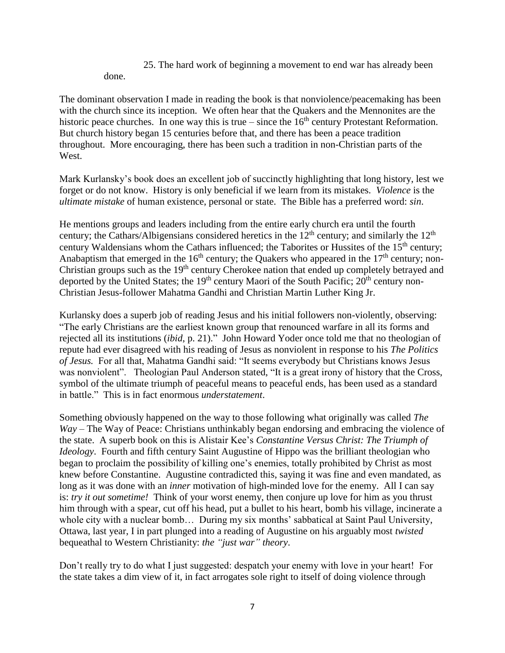25. The hard work of beginning a movement to end war has already been done.

The dominant observation I made in reading the book is that nonviolence/peacemaking has been with the church since its inception. We often hear that the Quakers and the Mennonites are the historic peace churches. In one way this is true – since the  $16<sup>th</sup>$  century Protestant Reformation. But church history began 15 centuries before that, and there has been a peace tradition throughout. More encouraging, there has been such a tradition in non-Christian parts of the West.

Mark Kurlansky's book does an excellent job of succinctly highlighting that long history, lest we forget or do not know. History is only beneficial if we learn from its mistakes. *Violence* is the *ultimate mistake* of human existence, personal or state. The Bible has a preferred word: *sin*.

He mentions groups and leaders including from the entire early church era until the fourth century; the Cathars/Albigensians considered heretics in the  $12<sup>th</sup>$  century; and similarly the  $12<sup>th</sup>$ century Waldensians whom the Cathars influenced; the Taborites or Hussites of the 15<sup>th</sup> century; Anabaptism that emerged in the  $16<sup>th</sup>$  century; the Quakers who appeared in the  $17<sup>th</sup>$  century; non-Christian groups such as the 19<sup>th</sup> century Cherokee nation that ended up completely betrayed and deported by the United States; the 19<sup>th</sup> century Maori of the South Pacific; 20<sup>th</sup> century non-Christian Jesus-follower Mahatma Gandhi and Christian Martin Luther King Jr.

Kurlansky does a superb job of reading Jesus and his initial followers non-violently, observing: "The early Christians are the earliest known group that renounced warfare in all its forms and rejected all its institutions (*ibid*, p. 21)." John Howard Yoder once told me that no theologian of repute had ever disagreed with his reading of Jesus as nonviolent in response to his *The Politics of Jesus.* For all that, Mahatma Gandhi said: "It seems everybody but Christians knows Jesus was nonviolent". Theologian Paul Anderson stated, "It is a great irony of history that the Cross, symbol of the ultimate triumph of peaceful means to peaceful ends, has been used as a standard in battle." This is in fact enormous *understatement*.

Something obviously happened on the way to those following what originally was called *The Way* – The Way of Peace: Christians unthinkably began endorsing and embracing the violence of the state. A superb book on this is Alistair Kee's *Constantine Versus Christ: The Triumph of Ideology*. Fourth and fifth century Saint Augustine of Hippo was the brilliant theologian who began to proclaim the possibility of killing one's enemies, totally prohibited by Christ as most knew before Constantine. Augustine contradicted this, saying it was fine and even mandated, as long as it was done with an *inner* motivation of high-minded love for the enemy. All I can say is: *try it out sometime!* Think of your worst enemy, then conjure up love for him as you thrust him through with a spear, cut off his head, put a bullet to his heart, bomb his village, incinerate a whole city with a nuclear bomb... During my six months' sabbatical at Saint Paul University, Ottawa, last year, I in part plunged into a reading of Augustine on his arguably most *twisted* bequeathal to Western Christianity: *the "just war" theory*.

Don't really try to do what I just suggested: despatch your enemy with love in your heart! For the state takes a dim view of it, in fact arrogates sole right to itself of doing violence through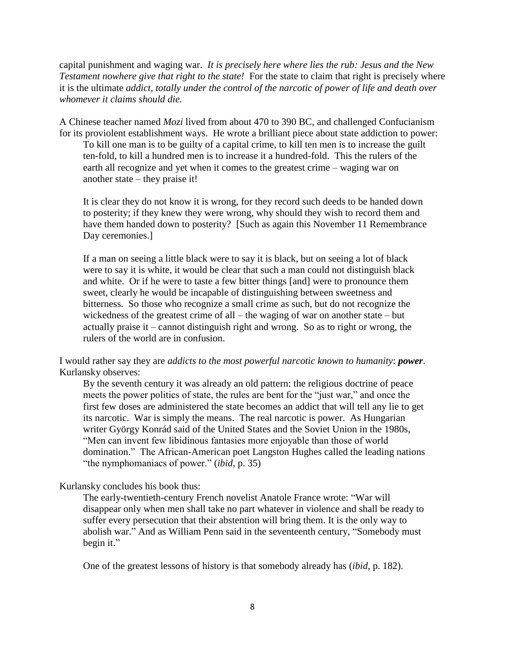capital punishment and waging war. *It is precisely here where lies the rub: Jesus and the New Testament nowhere give that right to the state!* For the state to claim that right is precisely where it is the ultimate *addict, totally under the control of the narcotic of power of life and death over whomever it claims should die.*

A Chinese teacher named *Mozi* lived from about 470 to 390 BC, and challenged Confucianism for its proviolent establishment ways. He wrote a brilliant piece about state addiction to power:

To kill one man is to be guilty of a capital crime, to kill ten men is to increase the guilt ten-fold, to kill a hundred men is to increase it a hundred-fold. This the rulers of the earth all recognize and yet when it comes to the greatest crime – waging war on another state – they praise it!

It is clear they do not know it is wrong, for they record such deeds to be handed down to posterity; if they knew they were wrong, why should they wish to record them and have them handed down to posterity? [Such as again this November 11 Remembrance Day ceremonies.]

If a man on seeing a little black were to say it is black, but on seeing a lot of black were to say it is white, it would be clear that such a man could not distinguish black and white. Or if he were to taste a few bitter things [and] were to pronounce them sweet, clearly he would be incapable of distinguishing between sweetness and bitterness. So those who recognize a small crime as such, but do not recognize the wickedness of the greatest crime of all – the waging of war on another state – but actually praise it – cannot distinguish right and wrong. So as to right or wrong, the rulers of the world are in confusion.

I would rather say they are *addicts to the most powerful narcotic known to humanity*: *power*. Kurlansky observes:

By the seventh century it was already an old pattern: the religious doctrine of peace meets the power politics of state, the rules are bent for the "just war," and once the first few doses are administered the state becomes an addict that will tell any lie to get its narcotic. War is simply the means. The real narcotic is power. As Hungarian writer György Konrád said of the United States and the Soviet Union in the 1980s, "Men can invent few libidinous fantasies more enjoyable than those of world domination." The African-American poet Langston Hughes called the leading nations "the nymphomaniacs of power." (*ibid*, p. 35)

Kurlansky concludes his book thus:

The early-twentieth-century French novelist Anatole France wrote: "War will disappear only when men shall take no part whatever in violence and shall be ready to suffer every persecution that their abstention will bring them. It is the only way to abolish war." And as William Penn said in the seventeenth century, "Somebody must begin it."

One of the greatest lessons of history is that somebody already has (*ibid*, p. 182).